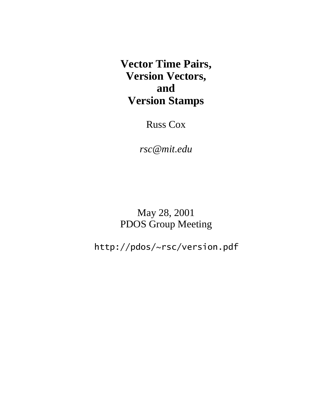**Vector Time Pairs, Version Vectors, and Version Stamps**

Russ Cox

*rsc@mit.edu*

May 28, 2001 PDOS Group Meeting

http://pdos/~rsc/version.pdf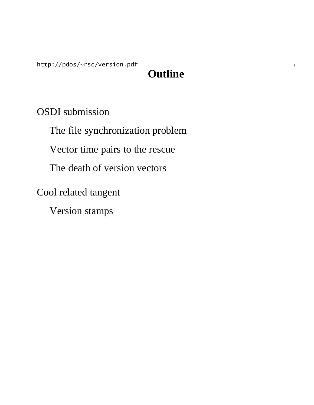http://pdos/~rsc/version.pdf

# **Outline**

OSDI submission

The file synchronization problem

Vector time pairs to the rescue

The death of version vectors

Cool related tangent

Version stamps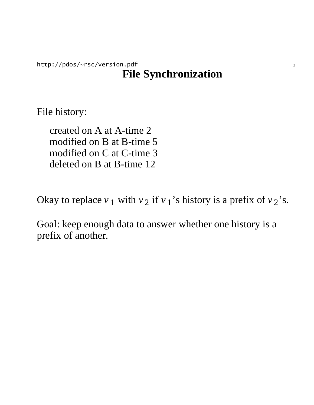### http://pdos/~rsc/version.pdf 2 **File Synchronization**

File history:

created on A at A-time 2 modified on B at B-time 5 modified on C at C-time 3 deleted on B at B-time 12

Okay to replace  $v_1$  with  $v_2$  if  $v_1$ 's history is a prefix of  $v_2$ 's.

Goal: keep enough data to answer whether one history is a prefix of another.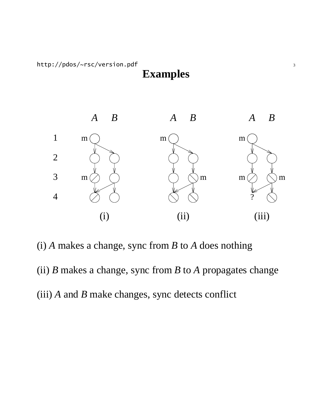**Examples**



(i) *A* makes a change, sync from *B* to *A* does nothing

(ii) *B* makes a change, sync from *B* to *A* propagates change (iii) *A* and *B* make changes, sync detects conflict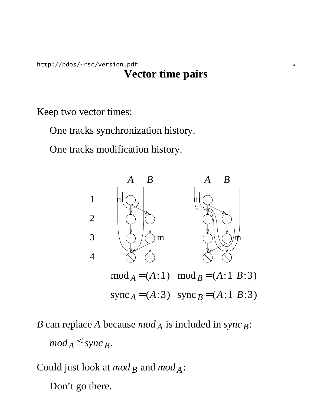http://pdos/~rsc/version.pdf 4 **Vector time pairs**

Keep two vector times:

One tracks synchronization history.

One tracks modification history.



*B* can replace *A* because *mod A* is included in *sync B*:  $mod_A \leq$  *sync*  $_B$ .

Could just look at *mod B* and *mod A*: Don't go there.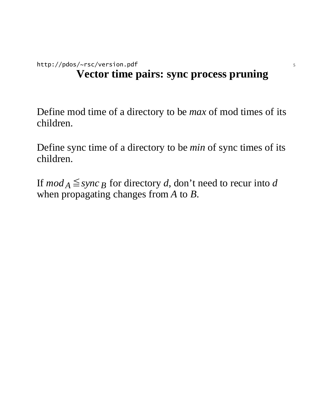## http://pdos/~rsc/version.pdf 5 **Vector time pairs: sync process pruning**

Define mod time of a directory to be *max* of mod times of its children.

Define sync time of a directory to be *min* of sync times of its children.

If  $mod_A \leq$  *sync B* for directory *d*, don't need to recur into *d* when propagating changes from *A* to *B*.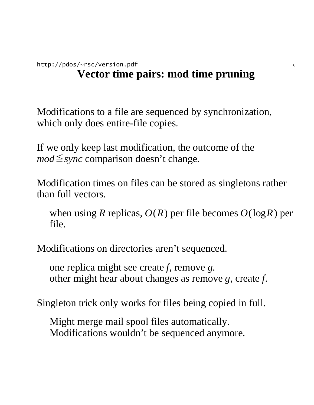### http://pdos/~rsc/version.pdf 6 **Vector time pairs: mod time pruning**

Modifications to a file are sequenced by synchronization, which only does entire-file copies.

If we only keep last modification, the outcome of the  $mod \leq$ *sync* comparison doesn't change.

Modification times on files can be stored as singletons rather than full vectors.

when using *R* replicas, *O*(*R*) per file becomes *O*(log*R*) per file.

Modifications on directories aren't sequenced.

one replica might see create *f*, remove *g*. other might hear about changes as remove *g*, create *f*.

Singleton trick only works for files being copied in full.

Might merge mail spool files automatically. Modifications wouldn't be sequenced anymore.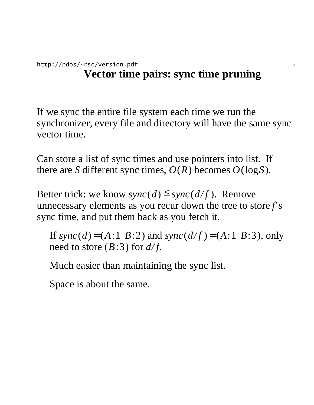### http://pdos/~rsc/version.pdf 7 **Vector time pairs: sync time pruning**

If we sync the entire file system each time we run the synchronizer, every file and directory will have the same sync vector time.

Can store a list of sync times and use pointers into list. If there are *S* different sync times,  $O(R)$  becomes  $O(\log S)$ .

Better trick: we know *sync*(*d*)  $\leq$  *sync*(*d/f*). Remove unnecessary elements as you recur down the tree to store *f*'s sync time, and put them back as you fetch it.

If  $sync(d) = (A:1 \ B:2)$  and  $sync(d/f) = (A:1 \ B:3)$ , only need to store (*B*:3) for *d/f*.

Much easier than maintaining the sync list.

Space is about the same.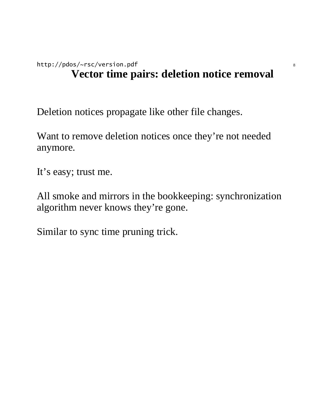Deletion notices propagate like other file changes.

Want to remove deletion notices once they're not needed anymore.

It's easy; trust me.

All smoke and mirrors in the bookkeeping: synchronization algorithm never knows they're gone.

Similar to sync time pruning trick.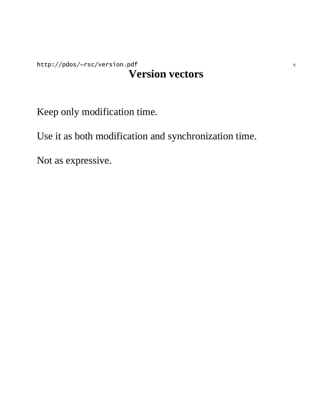### http://pdos/~rsc/version.pdf 9 **Version vectors**

Keep only modification time.

Use it as both modification and synchronization time.

Not as expressive.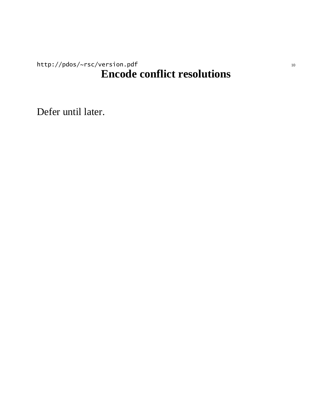### http://pdos/~rsc/version.pdf 10 **Encode conflict resolutions**

Defer until later.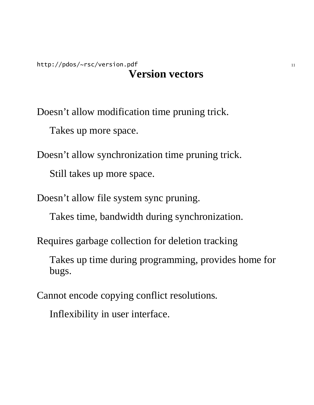#### http://pdos/~rsc/version.pdf 11 **Version vectors**

Doesn't allow modification time pruning trick.

Takes up more space.

Doesn't allow synchronization time pruning trick. Still takes up more space.

Doesn't allow file system sync pruning.

Takes time, bandwidth during synchronization.

Requires garbage collection for deletion tracking

Takes up time during programming, provides home for bugs.

Cannot encode copying conflict resolutions.

Inflexibility in user interface.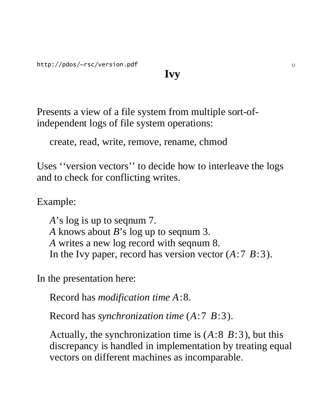# **Ivy**

Presents a view of a file system from multiple sort-ofindependent logs of file system operations:

create, read, write, remove, rename, chmod

Uses ''version vectors'' to decide how to interleave the logs and to check for conflicting writes.

Example:

*A*'s log is up to seqnum 7. *A* knows about *B*'s log up to seqnum 3. *A* writes a new log record with seqnum 8. In the Ivy paper, record has version vector (*A*:7 *B*:3).

In the presentation here:

Record has *modification time A*:8.

Record has *synchronization time* (*A*:7 *B*:3).

Actually, the synchronization time is (*A*:8 *B*:3), but this discrepancy is handled in implementation by treating equal vectors on different machines as incomparable.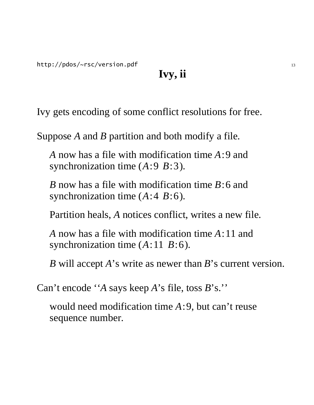http://pdos/~rsc/version.pdf 13

# **Ivy, ii**

Ivy gets encoding of some conflict resolutions for free.

Suppose *A* and *B* partition and both modify a file.

*A* now has a file with modification time *A*:9 and synchronization time (*A*:9 *B*:3).

*B* now has a file with modification time *B*:6 and synchronization time (*A*:4 *B*:6).

Partition heals, *A* notices conflict, writes a new file.

*A* now has a file with modification time *A*:11 and synchronization time (*A*:11 *B*:6).

*B* will accept *A*'s write as newer than *B*'s current version.

Can't encode ''*A* says keep *A*'s file, toss *B*'s.''

would need modification time *A*:9, but can't reuse sequence number.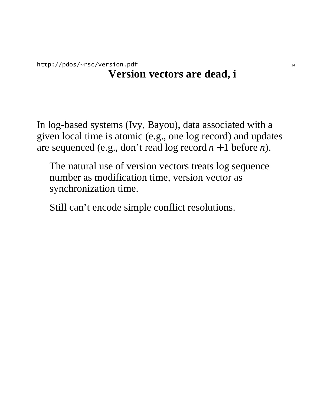### http://pdos/~rsc/version.pdf 14 **Version vectors are dead, i**

In log-based systems (Ivy, Bayou), data associated with a given local time is atomic (e.g., one log record) and updates are sequenced (e.g., don't read log record *n* + 1 before *n*).

The natural use of version vectors treats log sequence number as modification time, version vector as synchronization time.

Still can't encode simple conflict resolutions.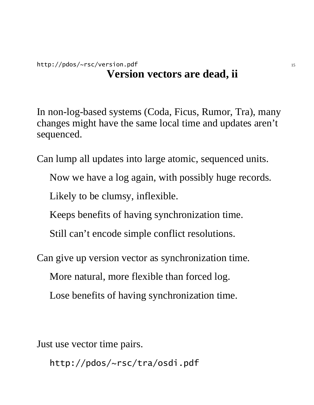### http://pdos/~rsc/version.pdf 15 **Version vectors are dead, ii**

In non-log-based systems (Coda, Ficus, Rumor, Tra), many changes might have the same local time and updates aren't sequenced.

Can lump all updates into large atomic, sequenced units.

Now we have a log again, with possibly huge records.

Likely to be clumsy, inflexible.

Keeps benefits of having synchronization time.

Still can't encode simple conflict resolutions.

Can give up version vector as synchronization time.

More natural, more flexible than forced log.

Lose benefits of having synchronization time.

Just use vector time pairs.

http://pdos/~rsc/tra/osdi.pdf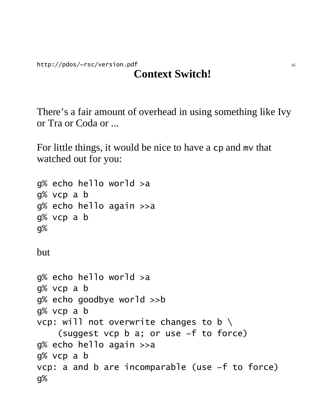http://pdos/~rsc/version.pdf 16

# **Context Switch!**

There's a fair amount of overhead in using something like Ivy or Tra or Coda or ...

For little things, it would be nice to have a cp and mv that watched out for you:

```
g% echo hello world >a
g% vcp a b
g% echo hello again >>a
g% vcp a b
g%
but
g% echo hello world >a
g% vcp a b
g% echo goodbye world >>b
g% vcp a b
vcp: will not overwrite changes to b \setminus(suggest vcp b a; or use −f to force)
g% echo hello again >>a
g% vcp a b
vcp: a and b are incomparable (use −f to force)
g%
```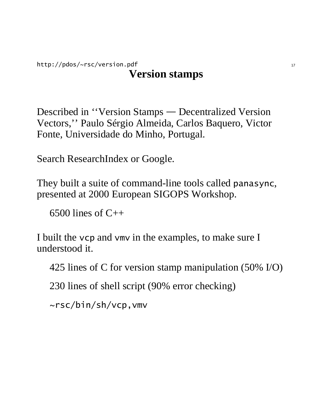### http://pdos/~rsc/version.pdf 17 **Version stamps**

Described in "Version Stamps — Decentralized Version Vectors,'' Paulo Sérgio Almeida, Carlos Baquero, Victor Fonte, Universidade do Minho, Portugal.

Search ResearchIndex or Google.

They built a suite of command-line tools called panasync, presented at 2000 European SIGOPS Workshop.

6500 lines of  $C++$ 

I built the vcp and vmv in the examples, to make sure I understood it.

425 lines of C for version stamp manipulation (50% I/O)

230 lines of shell script (90% error checking)

~rsc/bin/sh/vcp,vmv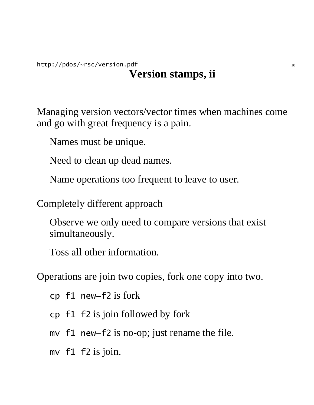### http://pdos/~rsc/version.pdf 18 **Version stamps, ii**

Managing version vectors/vector times when machines come and go with great frequency is a pain.

Names must be unique.

Need to clean up dead names.

Name operations too frequent to leave to user.

Completely different approach

Observe we only need to compare versions that exist simultaneously.

Toss all other information.

Operations are join two copies, fork one copy into two.

cp f1 new−f2 is fork

cp f1 f2 is join followed by fork

mv f1 new−f2 is no-op; just rename the file.

mv f1 f2 is join.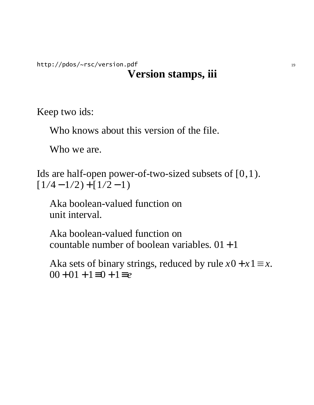http://pdos/~rsc/version.pdf 19

## **Version stamps, iii**

Keep two ids:

Who knows about this version of the file.

Who we are.

Ids are half-open power-of-two-sized subsets of [0,1).  $[1/4 - 1/2] + [1/2 - 1]$ 

Aka boolean-valued function on unit interval.

Aka boolean-valued function on countable number of boolean variables.  $01 + 1$ 

Aka sets of binary strings, reduced by rule  $x0 + x1 \equiv x$ . 00 + 01 + 1≡0 + 1≡*e*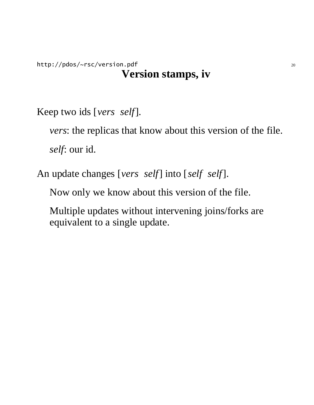http://pdos/~rsc/version.pdf 20 **Version stamps, iv**

Keep two ids [*vers* | *self*].

*vers*: the replicas that know about this version of the file. *self*: our id.

An update changes [*vers* | *self*] into [*self* | *self*].

Now only we know about this version of the file.

Multiple updates without intervening joins/forks are equivalent to a single update.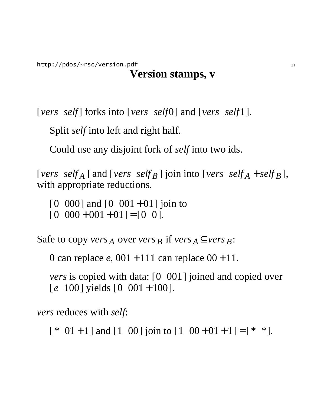[*versself*] forks into [*versself*0] and [*versself*1].

Split *self* into left and right half.

Could use any disjoint fork of *self* into two ids.

[*vers* | *self*<sub>A</sub> ] and [*vers* | *self*<sub>B</sub> ] join into [*vers* | *self*<sub>A</sub> + *self*<sub>B</sub>], with appropriate reductions.

 $[0|000]$  and  $[0|001 + 01]$  join to  $[0|000 + 001 + 01] = [0|0].$ 

Safe to copy *vers*  $\overline{A}$  over *vers*  $\overline{B}$  if *vers*  $\overline{A} \subseteq \overline{\text{vers } B}$ :

0 can replace *e*,  $001 + 111$  can replace  $00 + 11$ .

*vers* is copied with data: [0|001] joined and copied over  $\lceil e \rceil 100 \rceil$  yields  $\lceil 0 \rceil 001 + 100 \rceil$ .

*vers* reduces with *self*:

 $[ * | 01 + 1]$  and  $[1 | 00]$  join to  $[1 | 00 + 01 + 1] = [ * | *].$